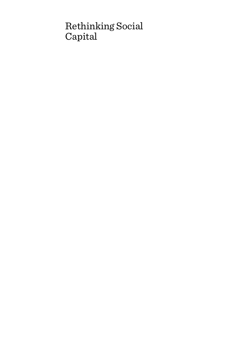# Rethinking Social Capital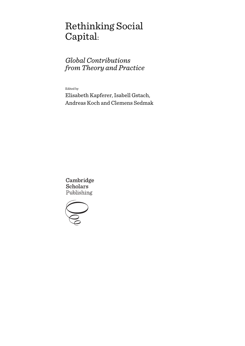# Rethinking Social Capital:

# *Global Contributions from Theory and Practice*

Edited by

Elisabeth Kapferer, Isabell Gstach, Andreas Koch and Clemens Sedmak

Cambridge **Scholars** Publishing

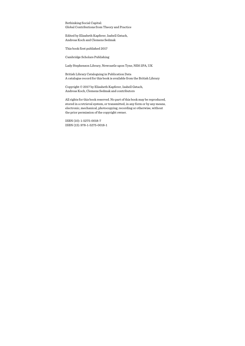Rethinking Social Capital: Global Contributions from Theory and Practice

Edited by Elisabeth Kapferer, Isabell Gstach, Andreas Koch and Clemens Sedmak

This book first published 2017

Cambridge Scholars Publishing

Lady Stephenson Library, Newcastle upon Tyne, NE6 2PA, UK

British Library Cataloguing in Publication Data A catalogue record for this book is available from the British Library

Copyright © 2017 by Elisabeth Kapferer, Isabell Gstach, Andreas Koch, Clemens Sedmak and contributors

All rights for this book reserved. No part of this book may be reproduced, stored in a retrieval system, or transmitted, in any form or by any means, electronic, mechanical, photocopying, recording or otherwise, without the prior permission of the copyright owner.

ISBN (10): 1-5275-0018-7 ISBN (13): 978-1-5275-0018-1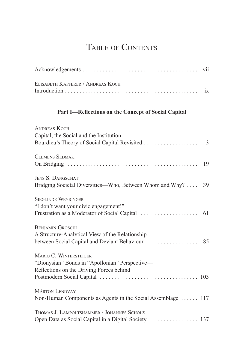## TABLE OF CONTENTS

| ELISABETH KAPFERER / ANDREAS KOCH                                                                                    |    |
|----------------------------------------------------------------------------------------------------------------------|----|
| Part I-Reflections on the Concept of Social Capital                                                                  |    |
| <b>ANDREAS KOCH</b><br>Capital, the Social and the Institution-                                                      |    |
| <b>CLEMENS SEDMAK</b>                                                                                                | 19 |
| <b>JENS S. DANGSCHAT</b><br>Bridging Societal Diversities—Who, Between Whom and Why?                                 | 39 |
| <b>SIEGLINDE WEYRINGER</b><br>"I don't want your civic engagement!"                                                  | 61 |
| <b>BENJAMIN GRÖSCHL</b><br>A Structure-Analytical View of the Relationship                                           |    |
| MARIO C. WINTERSTEIGER<br>"Dionysian" Bonds in "Apollonian" Perspective-<br>Reflections on the Driving Forces behind |    |
| <b>MÁRTON LENDVAY</b><br>Non-Human Components as Agents in the Social Assemblage  117                                |    |
| THOMAS J. LAMPOLTSHAMMER / JOHANNES SCHOLZ<br>Open Data as Social Capital in a Digital Society  137                  |    |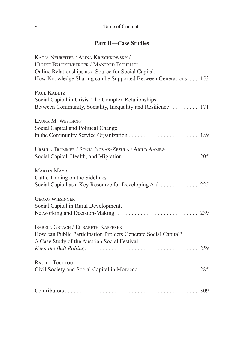### **Part II-Case Studies**

| KATJA NEUREITER / ALINA KRISCHKOWSKY /                         |  |
|----------------------------------------------------------------|--|
| <b>ULRIKE BRUCKENBERGER / MANFRED TSCHELIGI</b>                |  |
| Online Relationships as a Source for Social Capital:           |  |
| How Knowledge Sharing can be Supported Between Generations 153 |  |
|                                                                |  |
| PAUL KADETZ                                                    |  |
| Social Capital in Crisis: The Complex Relationships            |  |
| Between Community, Sociality, Inequality and Resilience  171   |  |
|                                                                |  |
| LAURA M. WESTHOFF                                              |  |
| Social Capital and Political Change                            |  |
|                                                                |  |
|                                                                |  |
| URSULA TRUMMER / SONJA NOVAK-ZEZULA / ARILD AAMBØ              |  |
|                                                                |  |
|                                                                |  |
| MARTIN MAYR                                                    |  |
| Cattle Trading on the Sidelines—                               |  |
|                                                                |  |
|                                                                |  |
| <b>GEORG WIESINGER</b>                                         |  |
| Social Capital in Rural Development,                           |  |
|                                                                |  |
|                                                                |  |
| ISABELL GSTACH / ELISABETH KAPFERER                            |  |
|                                                                |  |
| How can Public Participation Projects Generate Social Capital? |  |
| A Case Study of the Austrian Social Festival                   |  |
|                                                                |  |
|                                                                |  |
| <b>RACHID TOUHTOU</b>                                          |  |
|                                                                |  |
|                                                                |  |
|                                                                |  |
|                                                                |  |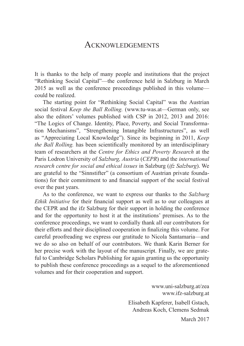### ACKNOWLEDGEMENTS

It is thanks to the help of many people and institutions that the project "Rethinking Social Capital"—the conference held in Salzburg in March 2015 as well as the conference proceedings published in this volume could be realized.

The starting point for "Rethinking Social Capital" was the Austrian social festival *Keep the Ball Rolling.* (www.tu-was.at—German only, see also the editors' volumes published with CSP in 2012, 2013 and 2016: "The Logics of Change. Identity, Place, Poverty, and Social Transformation Mechanisms", "Strengthening Intangible Infrastructures", as well as "Appreciating Local Knowledge"). Since its beginning in 2011, *Keep the Ball Rolling.* has been scientifically monitored by an interdisciplinary team of researchers at the *Centre for Ethics and Poverty Research* at the Paris Lodron University of *Salzburg, Austria* (*CEPR*) and the *international research centre for social and ethical issues* in Salzburg (*ifz Salzburg*). We are grateful to the "Sinnstifter" (a consortium of Austrian private foundations) for their commitment to and financial support of the social festival over the past years.

As to the conference, we want to express our thanks to the *Salzburg Ethik Initiative* for their financial support as well as to our colleagues at the CEPR and the ifz Salzburg for their support in holding the conference and for the opportunity to host it at the institutions' premises. As to the conference proceedings, we want to cordially thank all our contributors for their efforts and their disciplined cooperation in finalizing this volume. For careful proofreading we express our gratitude to Nicola Santamaria—and we do so also on behalf of our contributors. We thank Karin Berner for her precise work with the layout of the manuscript. Finally, we are grateful to Cambridge Scholars Publishing for again granting us the opportunity to publish these conference proceedings as a sequel to the aforementioned volumes and for their cooperation and support.

> www.uni-salzburg.at/zea www.ifz-salzburg.at

Elisabeth Kapferer, Isabell Gstach, Andreas Koch, Clemens Sedmak

March 2017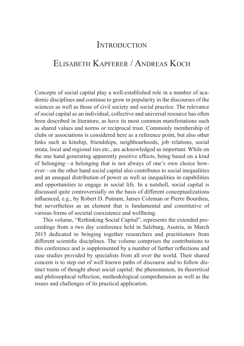### **INTRODUCTION**

### ELISABETH KAPFERER / ANDREAS KOCH

Concepts of social capital play a well-established role in a number of academic disciplines and continue to grow in popularity in the discourses of the sciences as well as those of civil society and social practice. The relevance of social capital as an individual, collective and universal resource has often been described in literature, as have its most common manifestations such as shared values and norms or reciprocal trust. Commonly membership of clubs or associations is considered here as a reference point, but also other links such as kinship, friendships, neighbourhoods, job relations, social strata, local and regional ties etc., are acknowledged as important. While on the one hand generating apparently positive effects, being based on a kind of belonging—a belonging that is not always of one's own choice however—on the other hand social capital also contributes to social inequalities and an unequal distribution of power as well as inequalities in capabilities and opportunities to engage in social life. In a nutshell, social capital is discussed quite controversially on the basis of different conceptualizations influenced, e.g., by Robert D. Putnam, James Coleman or Pierre Bourdieu. but nevertheless as an element that is fundamental and constitutive of various forms of societal coexistence and wellbeing.

This volume, "Rethinking Social Capital", represents the extended proceedings from a two day conference held in Salzburg, Austria, in March 2015 dedicated to bringing together researchers and practitioners from different scientific disciplines. The volume comprises the contributions to this conference and is supplemented by a number of further reflections and case studies provided by specialists from all over the world. Their shared concern is to step out of well known paths of discourse and to follow distinct trains of thought about social capital: the phenomenon, its theoretical and philosophical reflection, methodological comprehension as well as the issues and challenges of its practical application.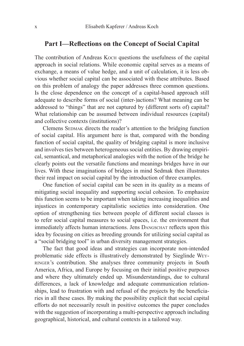#### Part I—Reflections on the Concept of Social Capital

The contribution of Andreas Koch questions the usefulness of the capital approach in social relations. While economic capital serves as a means of exchange, a means of value hedge, and a unit of calculation, it is less obvious whether social capital can be associated with these attributes. Based on this problem of analogy the paper addresses three common questions. Is the close dependence on the concept of a capital-based approach still adequate to describe forms of social (inter-)actions? What meaning can be addressed to "things" that are not captured by (different sorts of) capital? What relationship can be assumed between individual resources (capital) and collective contexts (institutions)?

Clemens SEDMAK directs the reader's attention to the bridging function of social capital. His argument here is that, compared with the bonding function of social capital, the quality of bridging capital is more inclusive and involves ties between heterogeneous social entities. By drawing empirical, semantical, and metaphorical analogies with the notion of the bridge he clearly points out the versatile functions and meanings bridges have in our lives. With these imaginations of bridges in mind Sedmak then illustrates their real impact on social capital by the introduction of three examples.

One function of social capital can be seen in its quality as a means of mitigating social inequality and supporting social cohesion. To emphasize this function seems to be important when taking increasing inequalities and injustices in contemporary capitalistic societies into consideration. One option of strengthening ties between people of different social classes is to refer social capital measures to social spaces, i.e. the environment that immediately affects human interactions. Jens DANGSCHAT reflects upon this idea by focusing on cities as breeding grounds for utilizing social capital as a "social bridging tool" in urban diversity management strategies.

The fact that good ideas and strategies can incorporate non-intended problematic side effects is illustratively demonstrated by Sieglinde Weyringer's contribution. She analyses three community projects in South America, Africa, and Europe by focusing on their initial positive purposes and where they ultimately ended up. Misunderstandings, due to cultural differences, a lack of knowledge and adequate communication relationships, lead to frustration with and refusal of the projects by the beneficiaries in all these cases. By making the possibility explicit that social capital efforts do not necessarily result in positive outcomes the paper concludes with the suggestion of incorporating a multi-perspective approach including geographical, historical, and cultural contexts in a tailored way.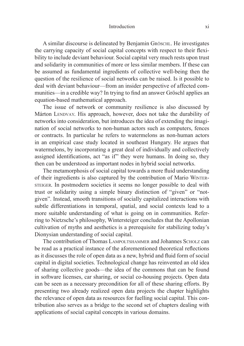#### Introduction

A similar discourse is delineated by Benjamin Gröschl. He investigates the carrying capacity of social capital concepts with respect to their flexibility to include deviant behaviour. Social capital very much rests upon trust and solidarity in communities of more or less similar members. If these can be assumed as fundamental ingredients of collective well-being then the question of the resilience of social networks can be raised. Is it possible to deal with deviant behaviour—from an insider perspective of affected communities—in a credible way? In trying to find an answer Gröschl applies an equation-based mathematical approach.

The issue of network or community resilience is also discussed by Márton LENDVAY. His approach, however, does not take the durability of networks into consideration, but introduces the idea of extending the imagination of social networks to non-human actors such as computers, fences or contracts. In particular he refers to watermelons as non-human actors in an empirical case study located in southeast Hungary. He argues that watermelons, by incorporating a great deal of individually and collectively assigned identifications, act "as if" they were humans. In doing so, they then can be understood as important nodes in hybrid social networks.

The metamorphosis of social capital towards a more fluid understanding of their ingredients is also captured by the contribution of Mario WinTersTeiger. In postmodern societies it seems no longer possible to deal with trust or solidarity using a simple binary distinction of "given" or "notgiven". Instead, smooth transitions of socially capitalized interactions with subtle differentiations in temporal, spatial, and social contexts lead to a more suitable understanding of what is going on in communities. Referring to Nietzsche's philosophy, Wintersteiger concludes that the Apollonian cultivation of myths and aesthetics is a prerequisite for stabilizing today's Dionysian understanding of social capital.

The contribution of Thomas LAMPOLTSHAMMER and Johannes SCHOLZ can be read as a practical instance of the aforementioned theoretical reflections as it discusses the role of open data as a new, hybrid and fluid form of social capital in digital societies. Technological change has reinvented an old idea of sharing collective goods—the idea of the commons that can be found in software licenses, car sharing, or social co-housing projects. Open data can be seen as a necessary precondition for all of these sharing efforts. By presenting two already realized open data projects the chapter highlights the relevance of open data as resources for fuelling social capital. This contribution also serves as a bridge to the second set of chapters dealing with applications of social capital concepts in various domains.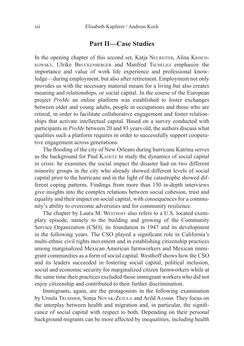### **Part II-Case Studies**

In the opening chapter of this second set, Katia NeureiTer, Alina Krisch-KoWsKy, Ulrike bruCKenberger and Manfred TsCheligi emphasize the importance and value of work life experience and professional knowledge—during employment, but also after retirement. Employment not only provides us with the necessary material means for a living but also creates meaning and relationships, or social capital. In the course of the European project *ProMe* an online platform was established to foster exchanges between older and young adults, people in occupations and those who are retired, in order to facilitate collaborative engagement and foster relationships that activate intellectual capital. Based on a survey conducted with participants in *ProMe* between 20 and 93 years old, the authors discuss what qualities such a platform requires in order to successfully support cooperative engagement across generations.

The flooding of the city of New Orleans during hurricane Katrina serves as the background for Paul KADETZ to study the dynamics of social capital in crisis: he examines the social impact the disaster had on two different minority groups in the city who already showed different levels of social capital prior to the hurricane and in the light of the catastrophe showed different coping patterns. Findings from more than 150 in-depth interviews give insights into the complex relations between social cohesion, trust and equality and their impact on social capital, with consequences for a community's ability to overcome adversities and for community resilience.

The chapter by Laura M. WESTHOFF also refers to a U.S. located exemplary episode, namely to the building and growing of the Community Service Organization (CSO), its foundation in 1947 and its development in the following years. The CSO played a significant role in California's multi-ethnic civil rights movement and in establishing citizenship practices among marginalized Mexican American farmworkers and Mexican immigrant communities as a form of social capital. Westhoff shows how the CSO and its leaders succeeded in fostering social capital, political inclusion, social and economic security for marginalized citizen farmworkers while at the same time their practices excluded those immigrant workers who did not enjoy citizenship and contributed to their further discrimination.

Immigrants, again, are the protagonists in the following examination by Ursula Trummer, Sonja Novak-Zezula and Arild AAMBø. They focus on the interplay between health and migration and, in particular, the significance of social capital with respect to both. Depending on their personal background migrants can be more affected by inequalities, including health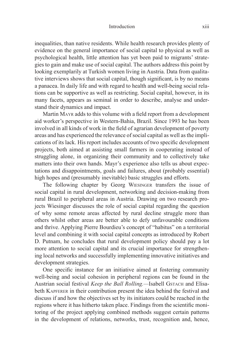#### Introduction

inequalities, than native residents. While health research provides plenty of evidence on the general importance of social capital to physical as well as psychological health, little attention has yet been paid to migrants' strategies to gain and make use of social capital. The authors address this point by looking exemplarily at Turkish women living in Austria. Data from qualitative interviews shows that social capital, though significant, is by no means a panacea. In daily life and with regard to health and well-being social relations can be supportive as well as restricting. Social capital, however, in its many facets, appears as seminal in order to describe, analyse and understand their dynamics and impact.

Martin MAYR adds to this volume with a field report from a development aid worker's perspective in Western-Bahia, Brazil. Since 1993 he has been involved in all kinds of work in the field of agrarian development of poverty areas and has experienced the relevance of social capital as well as the implications of its lack. His report includes accounts of two specific development projects, both aimed at assisting small farmers in cooperating instead of struggling alone, in organizing their community and to collectively take matters into their own hands. Mayr's experience also tells us about expectations and disappointments, goals and failures, about (probably essential) high hopes and (presumably inevitable) basic struggles and efforts.

The following chapter by Georg Wiesinger transfers the issue of social capital in rural development, networking and decision-making from rural Brazil to peripheral areas in Austria. Drawing on two research projects Wiesinger discusses the role of social capital regarding the question of why some remote areas affected by rural decline struggle more than others whilst other areas are better able to defy unfavourable conditions and thrive. Applying Pierre Bourdieu's concept of "habitus" on a territorial level and combining it with social capital concepts as introduced by Robert D. Putnam, he concludes that rural development policy should pay a lot more attention to social capital and its crucial importance for strengthening local networks and successfully implementing innovative initiatives and development strategies.

One specific instance for an initiative aimed at fostering community well-being and social cohesion in peripheral regions can be found in the Austrian social festival *Keep the Ball Rolling*.—Isabell GSTACH and Elisabeth KAPFERER in their contribution present the idea behind the festival and discuss if and how the objectives set by its initiators could be reached in the regions where it has hitherto taken place. Findings from the scientific monitoring of the project applying combined methods suggest certain patterns in the development of relations, networks, trust, recognition and, hence,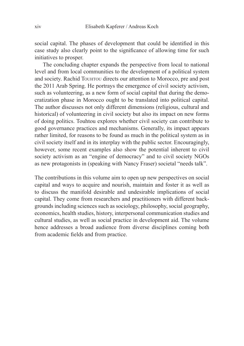social capital. The phases of development that could be identified in this case study also clearly point to the significance of allowing time for such initiatives to prosper.

The concluding chapter expands the perspective from local to national level and from local communities to the development of a political system and society. Rachid TouhTou directs our attention to Morocco, pre and post the 2011 Arab Spring. He portrays the emergence of civil society activism, such as volunteering, as a new form of social capital that during the democratization phase in Morocco ought to be translated into political capital. The author discusses not only different dimensions (religious, cultural and historical) of volunteering in civil society but also its impact on new forms of doing politics. Touhtou explores whether civil society can contribute to good governance practices and mechanisms. Generally, its impact appears rather limited, for reasons to be found as much in the political system as in civil society itself and in its interplay with the public sector. Encouragingly, however, some recent examples also show the potential inherent to civil society activism as an "engine of democracy" and to civil society NGOs as new protagonists in (speaking with Nancy Fraser) societal "needs talk".

The contributions in this volume aim to open up new perspectives on social capital and ways to acquire and nourish, maintain and foster it as well as to discuss the manifold desirable and undesirable implications of social capital. They come from researchers and practitioners with different backgrounds including sciences such as sociology, philosophy, social geography, economics, health studies, history, interpersonal communication studies and cultural studies, as well as social practice in development aid. The volume hence addresses a broad audience from diverse disciplines coming both from academic fields and from practice.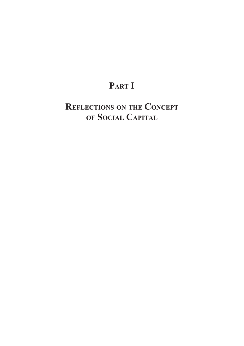## PART I

# REFLECTIONS ON THE CONCEPT OF SOCIAL CAPITAL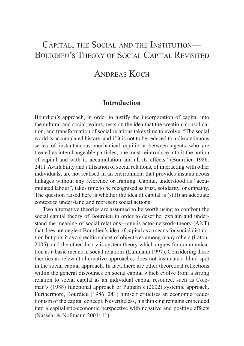### CAPITAL, THE SOCIAL AND THE INSTITUTION— BOURDIEU'S THEORY OF SOCIAL CAPITAL REVISITED

### ANDREAS KOCH

### **Introduction**

Bourdieu's approach, in order to justify the incorporation of capital into the cultural and social realms, rests on the idea that the creation, consolidation, and transformation of social relations takes time to evolve. "The social world is accumulated history, and if it is not to be reduced to a discontinuous series of instantaneous mechanical equilibria between agents who are treated as interchangeable particles, one must reintroduce into it the notion of capital and with it, accumulation and all its effects" (Bourdieu 1986: 241). Availability and utilisation of social relations, of interacting with other individuals, are not realised in an environment that provides instantaneous linkages without any reference or framing. Capital, understood as "accumulated labour", takes time to be recognised as trust, solidarity, or empathy. The question raised here is whether the idea of capital is (still) an adequate context to understand and represent social actions.

Two alternative theories are assumed to be worth using to confront the social capital theory of Bourdieu in order to describe, explain and understand the meaning of social relations—one is actor-network-theory (ANT) that does not neglect Bourdieu's idea of capital as a means for social distinction but puts it as a specific subset of objectives among many others (Latour 2005), and the other theory is system theory which argues for communication as a basic means in social relations (Luhmann 1997). Considering these theories as relevant alternative approaches does not insinuate a blind spot in the social capital approach. In fact, there are other theoretical reflections within the general discourses on social capital which evolve from a strong relation to social capital as an individual capital resource, such as Coleman's (1988) functional approach or Putnam's (2002) systemic approach. Furthermore, Bourdieu (1986: 241) himself criticises an economic reductionism of the capital concept. Nevertheless, his thinking remains embedded into a capitalistic-economic perspective with negative and positive effects (Nassehi & Nollmann 2004: 11).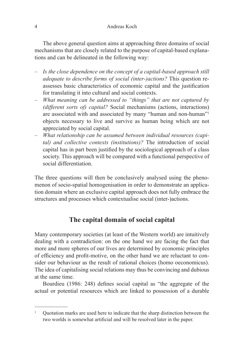The above general question aims at approaching three domains of social mechanisms that are closely related to the purpose of capital-based explanations and can be delineated in the following way:

- *Is the close dependence on the concept of a capital-based approach still adequate to describe forms of social (inter-)actions?* This question reassesses basic characteristics of economic capital and the justification for translating it into cultural and social contexts.
- *What meaning can be addressed to "things" that are not captured by (different sorts of) capital?* Social mechanisms (actions, interactions) are associated with and associated by many "human and non-human"1 objects necessary to live and survive as human being which are not appreciated by social capital.
- *What relationship can be assumed between individual resources (capital) and collective contexts (institutions)?* The introduction of social capital has in part been justified by the sociological approach of a class society. This approach will be compared with a functional perspective of social differentiation.

The three questions will then be conclusively analysed using the phenomenon of socio-spatial homogenisation in order to demonstrate an application domain where an exclusive capital approach does not fully embrace the structures and processes which contextualise social (inter-)actions.

### The capital domain of social capital

Many contemporary societies (at least of the Western world) are intuitively dealing with a contradiction: on the one hand we are facing the fact that more and more spheres of our lives are determined by economic principles of efficiency and profit-motive, on the other hand we are reluctant to consider our behaviour as the result of rational choices (homo oeconomicus). The idea of capitalising social relations may thus be convincing and dubious at the same time.

Bourdieu (1986: 248) defines social capital as "the aggregate of the actual or potential resources which are linked to possession of a durable

<sup>&</sup>lt;sup>1</sup> Ouotation marks are used here to indicate that the sharp distinction between the two worlds is somewhat artificial and will be resolved later in the paper.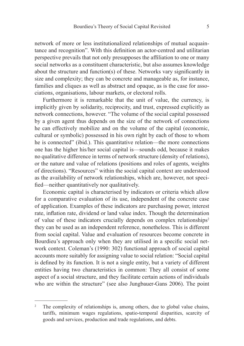network of more or less institutionalized relationships of mutual acquaintance and recognition". With this definition an actor-centred and utilitarian perspective prevails that not only presupposes the affiliation to one or many social networks as a constituent characteristic, but also assumes knowledge about the structure and function(s) of these. Networks vary significantly in size and complexity; they can be concrete and manageable as, for instance, families and cliques as well as abstract and opaque, as is the case for associations, organisations, labour markets, or electoral rolls.

Furthermore it is remarkable that the unit of value, the currency, is implicitly given by solidarity, reciprocity, and trust, expressed explicitly as network connections, however. "The volume of the social capital possessed by a given agent thus depends on the size of the network of connections he can effectively mobilize and on the volume of the capital (economic, cultural or symbolic) possessed in his own right by each of those to whom he is connected" (ibid.). This quantitative relation—the more connections one has the higher his/her social capital is—sounds odd, because it makes no qualitative difference in terms of network structure (density of relations), or the nature and value of relations (positions and roles of agents, weights of directions). "Resources" within the social capital context are understood as the availability of network relationships, which are, however, not speci fied—neither quantitatively nor qualitatively.

Economic capital is characterised by indicators or criteria which allow for a comparative evaluation of its use, independent of the concrete case of application. Examples of these indicators are purchasing power, interest rate, inflation rate, dividend or land value index. Though the determination of value of these indicators crucially depends on complex relationships<sup>2</sup> they can be used as an independent reference, nonetheless. This is different from social capital. Value and evaluation of resources become concrete in Bourdieu's approach only when they are utilised in a specific social network context. Coleman's (1990: 302) functional approach of social capital accounts more suitably for assigning value to social relation: "Social capital is defined by its function. It is not a single entity, but a variety of different entities having two characteristics in common: They all consist of some aspect of a social structure, and they facilitate certain actions of individuals who are within the structure" (see also Jungbauer-Gans 2006). The point

<sup>&</sup>lt;sup>2</sup> The complexity of relationships is, among others, due to global value chains, tariffs, minimum wages regulations, spatio-temporal disparities, scarcity of goods and services, production and trade regulations, and debts.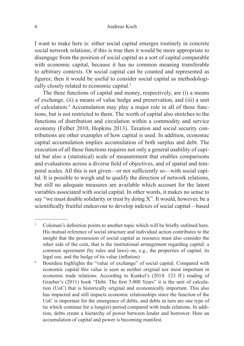#### Andreas Koch

I want to make here is: either social capital emerges routinely in concrete social network relations; if this is true then it would be more appropriate to disengage from the position of social capital as a sort of capital comparable with economic capital, because it has no common meaning transferable to arbitrary contexts. Or social capital can be counted and represented as figures; then it would be useful to consider social capital as methodologically closely related to economic capital. 3

The three functions of capital and money, respectively, are (i) a means of exchange, (ii) a means of value hedge and preservation, and (iii) a unit of calculation. 4 Accumulation may play a major role in all of these functions, but is not restricted to them. The worth of capital also stretches to the functions of distribution and circulation within a commodity and service economy (Felber 2010, Hopkins 2013). Taxation and social security contributions are other examples of how capital is used. In addition, economic capital accumulation implies accumulation of both surplus and debt. The execution of all these functions requires not only a general usability of capital but also a (statistical) scale of measurement that enables comparisons and evaluations across a diverse field of objectives, and of spatial and temporal scales. All this is not given—or not sufficiently so—with social capital. It is possible to weigh and to qualify the direction of network relations, but still no adequate measures are available which account for the latent variables associated with social capital. In other words, it makes no sense to say "we must double solidarity or trust by doing X". It would, however, be a scientifically fruitful endeavour to develop indexes of social capital—based

<sup>&</sup>lt;sup>3</sup> Coleman's definition points to another topic which will be briefly outlined here. His mutual reference of social structure and individual action contributes to the insight that the possession of social capital as resource must also consider the other side of the coin, that is the institutional arrangement regarding capital: a common agreement (by rules and laws) on, e.g., the properties of capital, its legal use, and the hedge of its value (inflation)

<sup>4</sup> Bourdieu highlights the "value of exchange" of social capital. Compared with economic capital this value is seen as neither original nor most important in economic trade relations. According to Kunkel's (2014: 123 ff.) reading of Graeber's (2011) book "Debt. The first 5.000 Years" it is the unit of calculation (UoC) that is historically original and economically important. This also has impacted and still impacts economic relationships since the function of the UoC is important for the emergence of debts, and debts in turn are one type of tie which continue for a long(er) period compared with trade relations. In addition, debts create a hierarchy of power between lender and borrower. Here an accumulation of capital and power is becoming manifest.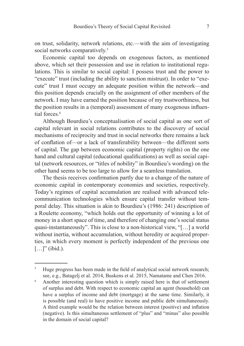on trust, solidarity, network relations, etc.—with the aim of investigating social networks comparatively.<sup>5</sup>

Economic capital too depends on exogenous factors, as mentioned above, which set their possession and use in relation to institutional regulations. This is similar to social capital: I possess trust and the power to "execute" trust (including the ability to sanction mistrust). In order to "execute" trust I must occupy an adequate position within the network—and this position depends crucially on the assignment of other members of the network. I may have earned the position because of my trustworthiness, but the position results in a (temporal) assessment of many exogenous influential forces. 6

Although Bourdieu's conceptualisation of social capital as one sort of capital relevant in social relations contributes to the discovery of social mechanisms of reciprocity and trust in social networks there remains a lack of conflation of or a lack of transferability between—the different sorts of capital. The gap between economic capital (property rights) on the one hand and cultural capital (educational qualifications) as well as social capital (network resources, or "titles of nobility" in Bourdieu's wording) on the other hand seems to be too large to allow for a seamless translation.

The thesis receives confirmation partly due to a change of the nature of economic capital in contemporary economies and societies, respectively. Today's regimes of capital accumulation are realised with advanced telecommunication technologies which ensure capital transfer without temporal delay. This situation is akin to Bourdieu's (1986: 241) description of a Roulette economy, "which holds out the opportunity of winning a lot of money in a short space of time, and therefore of changing one's social status quasi-instantaneously". This is close to a non-historical view, "[…] a world without inertia, without accumulation, without heredity or acquired properties, in which every moment is perfectly independent of the previous one  $[\ldots]$ " (ibid.).

<sup>&</sup>lt;sup>5</sup> Huge progress has been made in the field of analytical social network research; see, e.g., Batagelj et al. 2014, Buskens et al. 2015, Namatame and Chen 2016.

<sup>6</sup> Another interesting question which is simply raised here is that of settlement of surplus and debt. With respect to economic capital an agent (household) can have a surplus of income and debt (mortgage) at the same time. Similarly, it is possible (and real) to have positive income and public debt simultaneously. A third example would be the relation between interest (positive) and inflation (negative). Is this simultaneous settlement of "plus" and "minus" also possible in the domain of social capital?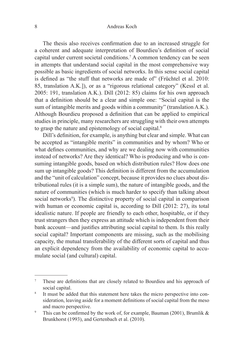#### Andreas Koch

The thesis also receives confirmation due to an increased struggle for a coherent and adequate interpretation of Bourdieu's definition of social capital under current societal conditions.<sup>7</sup> A common tendency can be seen in attempts that understand social capital in the most comprehensive way possible as basic ingredients of social networks. In this sense social capital is defined as "the stuff that networks are made of" (Früchtel et al. 2010: 85, translation A.K.]), or as a "rigorous relational category" (Kessl et al. 2005: 191, translation A.K.). Dill (2012: 85) claims for his own approach that a definition should be a clear and simple one: "Social capital is the sum of intangible merits and goods within a community" (translation A.K.). Although Bourdieu proposed a definition that can be applied to empirical studies in principle, many researchers are struggling with their own attempts to grasp the nature and epistemology of social capital.<sup>8</sup>

Dill's definition, for example, is anything but clear and simple. What can be accepted as "intangible merits" in communities and by whom? Who or what defines communities, and why are we dealing now with communities instead of networks? Are they identical? Who is producing and who is consuming intangible goods, based on which distribution rules? How does one sum up intangible goods? This definition is different from the accumulation and the "unit of calculation" concept, because it provides no clues about distributional rules (it is a simple sum), the nature of intangible goods, and the nature of communities (which is much harder to specify than talking about social networks<sup>9</sup>). The distinctive property of social capital in comparison with human or economic capital is, according to Dill (2012: 27), its total idealistic nature. If people are friendly to each other, hospitable, or if they trust strangers then they express an attitude which is independent from their bank account—and justifies attributing social capital to them. Is this really social capital? Important components are missing, such as the mobilising capacity, the mutual transferability of the different sorts of capital and thus an explicit dependency from the availability of economic capital to accumulate social (and cultural) capital.

<sup>&</sup>lt;sup>7</sup> These are definitions that are closely related to Bourdieu and his approach of social capital.

<sup>&</sup>lt;sup>8</sup> It must be added that this statement here takes the micro perspective into consideration, leaving aside for a moment definitions of social capital from the meso and macro perspective.

<sup>&</sup>lt;sup>9</sup> This can be confirmed by the work of, for example, Bauman (2001), Brumlik  $\&$ Brunkhorst (1993), and Gertenbach et al. (2010).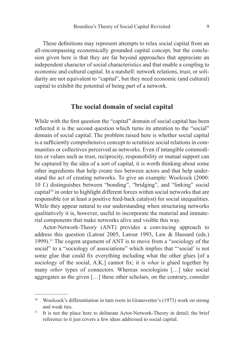These definitions may represent attempts to relax social capital from an all-encompassing economically grounded capital concept, but the conclusion given here is that they are far beyond approaches that appreciate an independent character of social characteristics and that enable a coupling to economic and cultural capital. In a nutshell: network relations, trust, or solidarity are not equivalent to "capital", but they need economic (and cultural) capital to exhibit the potential of being part of a network.

### The social domain of social capital

While with the first question the "capital" domain of social capital has been reflected it is the second question which turns its attention to the "social" domain of social capital. The problem raised here is whether social capital is a sufficiently comprehensive concept to scrutinize social relations in communities or collectives perceived as networks. Even if intangible commodities or values such as trust, reciprocity, responsibility or mutual support can be captured by the idea of a sort of capital, it is worth thinking about some other ingredients that help create ties between actors and that help understand the act of creating networks. To give an example: Woolcock (2000: 10 f.) distinguishes between "bonding", "bridging", and "linking" social capital10 in order to highlight different forces within social networks that are responsible (or at least a positive feed-back catalyst) for social inequalities. While they appear natural to our understanding when structuring networks qualitatively it is, however, useful to incorporate the material and immaterial components that make networks alive and visible this way.

Actor-Network-Theory (ANT) provides a convincing approach to address this question (Latour 2005, Latour 1993, Law & Hassard (eds.) 1999). 11 The cogent argument of ANT is to move from a "sociology of the social" to a "sociology of associations" which implies that "'social' is not some glue that could fix everything including what the other glues [of a sociology of the social, A.K.] cannot fix; it is *what* is glued together by many *other* types of connectors. Whereas sociologists […] take social aggregates as the given […] these other scholars, on the contrary, consider

<sup>&</sup>lt;sup>10</sup> Woolcock's differentiation in turn roots in Granovetter's (1973) work on strong and weak ties.

<sup>&</sup>lt;sup>11</sup> It is not the place here to delineate Actor-Network-Theory in detail; the brief reference to it just covers a few ideas addressed to social capital.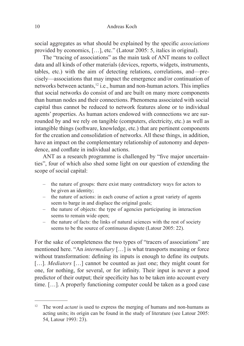social aggregates as what should be explained by the specific *associations* provided by economics, […], etc." (Latour 2005: 5, italics in original).

The "tracing of associations" as the main task of ANT means to collect data and all kinds of other materials (devices, reports, widgets, instruments, tables, etc.) with the aim of detecting relations, correlations, and—precisely—associations that may impact the emergence and/or continuation of networks between actants,12 i.e., human and non-human actors. This implies that social networks do consist of and are built on many more components than human nodes and their connections. Phenomena associated with social capital thus cannot be reduced to network features alone or to individual agents' properties. As human actors endowed with connections we are surrounded by and we rely on tangible (computers, electricity, etc.) as well as intangible things (software, knowledge, etc.) that are pertinent components for the creation and consolidation of networks. All these things, in addition, have an impact on the complementary relationship of autonomy and dependence, and conflate in individual actions.

ANT as a research programme is challenged by "five major uncertainties", four of which also shed some light on our question of extending the scope of social capital:

- the nature of groups: there exist many contradictory ways for actors to be given an identity;
- the nature of actions: in each course of action a great variety of agents seem to barge in and displace the original goals;
- the nature of objects: the type of agencies participating in interaction seems to remain wide open;
- the nature of facts: the links of natural sciences with the rest of society seems to be the source of continuous dispute (Latour 2005: 22).

For the sake of completeness the two types of "tracers of associations" are mentioned here. "An *intermediary* […] is what transports meaning or force without transformation: defining its inputs is enough to define its outputs. [...]. *Mediators* [...] cannot be counted as just one; they might count for one, for nothing, for several, or for infinity. Their input is never a good predictor of their output; their specificity has to be taken into account every time. […]. A properly functioning computer could be taken as a good case

<sup>&</sup>lt;sup>12</sup> The word *actant* is used to express the merging of humans and non-humans as acting units; its origin can be found in the study of literature (see Latour 2005: 54, Latour 1993: 23).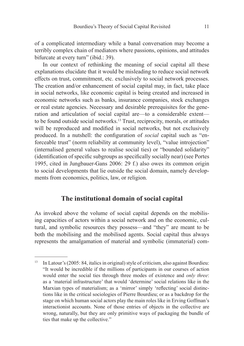of a complicated intermediary while a banal conversation may become a terribly complex chain of mediators where passions, opinions, and attitudes bifurcate at every turn" (ibid.: 39).

In our context of rethinking the meaning of social capital all these explanations elucidate that it would be misleading to reduce social network effects on trust, commitment, etc. exclusively to social network processes. The creation and/or enhancement of social capital may, in fact, take place in social networks, like economic capital is being created and increased in economic networks such as banks, insurance companies, stock exchanges or real estate agencies. Necessary and desirable prerequisites for the generation and articulation of social capital are—to a considerable extent to be found outside social networks. 13 Trust, reciprocity, morals, or attitudes will be reproduced and modified in social networks, but not exclusively produced. In a nutshell: the configuration of *social* capital such as "enforceable trust" (norm reliability at community level), "value introjection" (internalised general values to realise social ties) or "bounded solidarity"  $(identification of specific subgroups as specifically socially near)$  (see Portes) 1995, cited in Jungbauer-Gans 2006: 29 f.) also owes its common origin to social developments that lie outside the social domain, namely developments from economics, politics, law, or religion.

### The institutional domain of social capital

As invoked above the volume of social capital depends on the mobilising capacities of actors within a social network and on the economic, cultural, and symbolic resources they possess—and "they" are meant to be both the mobilising and the mobilised agents. Social capital thus always represents the amalgamation of material and symbolic (immaterial) com-

<sup>13</sup> In Latour's (2005: 84, italics in original) style of criticism, also against Bourdieu: "It would be incredible if the millions of participants in our courses of action would enter the social ties through three modes of existence and *only three*: as a 'material infrastructure' that would 'determine' social relations like in the Marxian types of materialism; as a 'mirror' simply 'reflecting' social distinctions like in the critical sociologies of Pierre Bourdieu; or as a backdrop for the stage on which human social actors play the main roles like in Erving Goffman's interactionist accounts. None of those entries of objects in the collective are wrong, naturally, but they are only primitive ways of packaging the bundle of ties that make up the collective."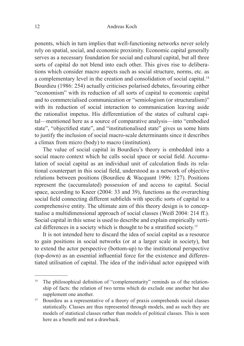ponents, which in turn implies that well-functioning networks never solely rely on spatial, social, and economic proximity. Economic capital generally serves as a necessary foundation for social and cultural capital, but all three sorts of capital do not blend into each other. This gives rise to deliberations which consider macro aspects such as social structure, norms, etc. as a complementary level in the creation and consolidation of social capital.<sup>14</sup> Bourdieu (1986: 254) actually criticises polarised debates, favouring either "economism" with its reduction of all sorts of capital to economic capital and to commercialised communication or "semiologism (or structuralism)" with its reduction of social interaction to communication leaving aside the rationalist impetus. His differentiation of the states of cultural capital—mentioned here as a source of comparative analysis—into "embodied state", "objectified state", and "institutionalised state" gives us some hints to justify the inclusion of social macro-scale determinants since it describes a climax from micro (body) to macro (institution).

The value of social capital in Bourdieu's theory is embedded into a social macro context which he calls social space or social field. Accumulation of social capital as an individual unit of calculation finds its relational counterpart in this social field, understood as a network of objective relations between positions (Bourdieu & Wacquant 1996: 127). Positions represent the (accumulated) possession of and access to capital. Social space, according to Kneer (2004: 33 and 39), functions as the overarching social field connecting different subfields with specific sorts of capital to a comprehensive entity. The ultimate aim of this theory design is to conceptualise a multidimensional approach of social classes (Weiß 2004: 214 ff.). Social capital in this sense is used to describe and explain empirically vertical differences in a society which is thought to be a stratified society.<sup>15</sup>

It is not intended here to discard the idea of social capital as a resource to gain positions in social networks (or at a larger scale in society), but to extend the actor perspective (bottom-up) to the institutional perspective (top-down) as an essential influential force for the existence and differentiated utilisation of capital. The idea of the individual actor equipped with

<sup>&</sup>lt;sup>14</sup> The philosophical definition of "complementarity" reminds us of the relationship of facts: the relation of two terms which do exclude one another but also supplement one another.

<sup>&</sup>lt;sup>15</sup> Bourdieu as a representative of a theory of praxis comprehends social classes statistically. Classes are thus represented through models, and as such they are models of statistical classes rather than models of political classes. This is seen here as a benefit and not a drawback.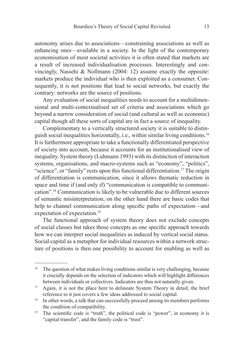autonomy arises due to associations—constraining associations as well as enhancing ones—available in a society. In the light of the contemporary economisation of most societal activities it is often stated that markets are a result of increased individualisation processes. Interestingly and convincingly, Nassehi & Nollmann (2004: 12) assume exactly the opposite: markets produce the individual who is then exploited as a consumer. Consequently, it is not positions that lead to social networks, but exactly the contrary: networks are the source of positions.

Any evaluation of social inequalities needs to account for a multidimensional and multi-contextualised set of criteria and associations which go beyond a narrow consideration of social (and cultural as well as economic) capital though all these sorts of capital are in fact a source of inequality.

Complementary to a vertically structured society it is suitable to distinguish social inequalities horizontally, i.e., within similar living conditions. 16 It is furthermore appropriate to take a functionally differentiated perspective of society into account, because it accounts for an institutionalised view of inequality. System theory (Luhmann 1993) with its distinction of interaction systems, organisations, and macro-systems such as "economy", "politics", "science", or "family" rests upon this functional differentiation. 17 The origin of differentiation is communication, since it allows thematic reduction in space and time if (and only if) "communication is compatible to communication". 18 Communication is likely to be vulnerable due to different sources of semantic misinterpretation; on the other hand there are basic codes that help to channel communication along specific paths of expectation—and expectation of expectation. 19

The functional approach of system theory does not exclude concepts of social classes but takes those concepts as one specific approach towards how we can interpret social inequalities as induced by vertical social status. Social capital as a metaphor for individual resources within a network structure of positions is then one possibility to account for enabling as well as

<sup>&</sup>lt;sup>16</sup> The question of what makes living conditions similar is very challenging, because it crucially depends on the selection of indicators which will highlight differences between individuals or collectives. Indicators are thus not naturally given.

<sup>&</sup>lt;sup>17</sup> Again, it is not the place here to delineate System Theory in detail; the brief reference to it just covers a few ideas addressed to social capital.

<sup>18</sup> In other words, a talk that can successfully proceed among its members performs the condition of compatibility.

<sup>&</sup>lt;sup>19</sup> The scientific code is "truth", the political code is "power", in economy it is "capital transfer", and the family code is "trust".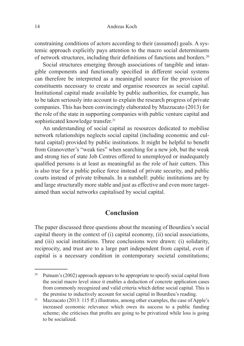constraining conditions of actors according to their (assumed) goals. A systemic approach explicitly pays attention to the macro social determinants of network structures, including their definitions of functions and borders.<sup>20</sup>

Social structures emerging through associations of tangible and intangible components and functionally specified in different social systems can therefore be interpreted as a meaningful source for the provision of constituents necessary to create and organise resources as social capital. Institutional capital made available by public authorities, for example, has to be taken seriously into account to explain the research progress of private companies. This has been convincingly elaborated by Mazzucato (2013) for the role of the state in supporting companies with public venture capital and sophisticated knowledge transfer. 21

An understanding of social capital as resources dedicated to mobilise network relationships neglects social capital (including economic and cultural capital) provided by public institutions. It might be helpful to benefit from Granovetter's "weak ties" when searching for a new job, but the weak and strong ties of state Job Centres offered to unemployed or inadequately qualified persons is at least as meaningful as the role of hair cutters. This is also true for a public police force instead of private security, and public courts instead of private tribunals. In a nutshell: public institutions are by and large structurally more stable and just as effective and even more targetaimed than social networks capitalised by social capital.

### **Conclusion**

The paper discussed three questions about the meaning of Bourdieu's social capital theory in the context of (i) capital economy, (ii) social associations, and (iii) social institutions. Three conclusions were drawn: (i) solidarity, reciprocity, and trust are to a large part independent from capital, even if capital is a necessary condition in contemporary societal constitutions;

<sup>&</sup>lt;sup>20</sup> Putnam's (2002) approach appears to be appropriate to specify social capital from the social macro level since it enables a deduction of concrete application cases from commonly recognized and valid criteria which define social capital. This is the premise to inductively account for social capital in Bourdieu's reading.

<sup>&</sup>lt;sup>21</sup> Mazzucato (2013: 115 ff.) illustrates, among other examples, the case of Apple's increased economic relevance which owes its success to a public funding scheme; she criticises that profits are going to be privatized while loss is going to be socialized.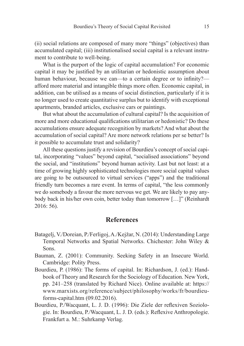(ii) social relations are composed of many more "things" (objectives) than accumulated capital; (iii) institutionalised social capital is a relevant instrument to contribute to well-being.

What is the purport of the logic of capital accumulation? For economic capital it may be justified by an utilitarian or hedonistic assumption about human behaviour, because we can—to a certain degree or to infinity? afford more material and intangible things more often. Economic capital, in addition, can be utilised as a means of social distinction, particularly if it is no longer used to create quantitative surplus but to identify with exceptional apartments, branded articles, exclusive cars or paintings.

But what about the accumulation of cultural capital? Is the acquisition of more and more educational qualifications utilitarian or hedonistic? Do these accumulations ensure adequate recognition by markets? And what about the accumulation of social capital? Are more network relations per se better? Is it possible to accumulate trust and solidarity?

All these questions justify a revision of Bourdieu's concept of social capital, incorporating "values" beyond capital, "socialised associations" beyond the social, and "institutions" beyond human activity. Last but not least: at a time of growing highly sophisticated technologies more social capital values are going to be outsourced to virtual services ("apps") and the traditional friendly turn becomes a rare event. In terms of capital, "the less commonly we do somebody a favour the more nervous we get. We are likely to pay anybody back in his/her own coin, better today than tomorrow […]" (Reinhardt 2016: 56).

### **References**

- Batagelj, V./Doreian, P./Ferligoj, A./Kejžar, N. (2014): Understanding Large Temporal Networks and Spatial Networks. Chichester: John Wiley & Sons.
- Bauman, Z. (2001): Community. Seeking Safety in an Insecure World. Cambridge: Polity Press.
- Bourdieu, P. (1986): The forms of capital. In: Richardson, J. (ed.): Handbook of Theory and Research for the Sociology of Education. New York, pp. 241–258 (translated by Richard Nice). Online available at: https:// www.marxists.org/reference/subject/philosophy/works/fr/bourdieuforms-capital.htm (09.02.2016).
- Bourdieu, P./Wacquant, L. J. D. (1996): Die Ziele der reflexiven Soziologie. In: Bourdieu, P./Wacquant, L. J. D. (eds.): Reflexive Anthropologie. Frankfurt a. M.: Suhrkamp Verlag.